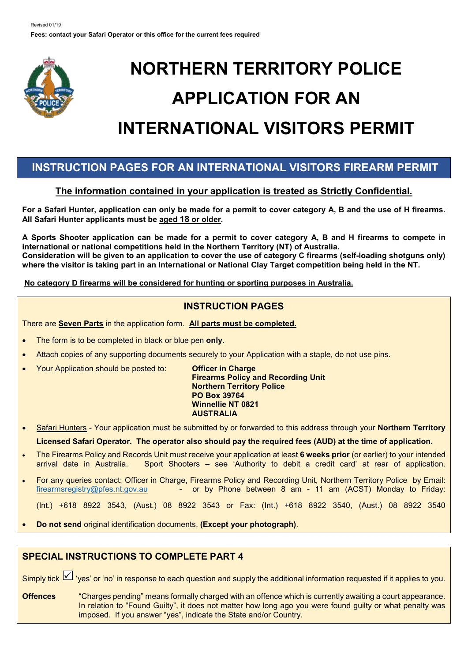

# **NORTHERN TERRITORY POLICE APPLICATION FOR AN INTERNATIONAL VISITORS PERMIT**

# **INSTRUCTION PAGES FOR AN INTERNATIONAL VISITORS FIREARM PERMIT**

# **The information contained in your application is treated as Strictly Confidential.**

**For a Safari Hunter, application can only be made for a permit to cover category A, B and the use of H firearms. All Safari Hunter applicants must be aged 18 or older.** 

**A Sports Shooter application can be made for a permit to cover category A, B and H firearms to compete in international or national competitions held in the Northern Territory (NT) of Australia. Consideration will be given to an application to cover the use of category C firearms (self-loading shotguns only) where the visitor is taking part in an International or National Clay Target competition being held in the NT.** 

**No category D firearms will be considered for hunting or sporting purposes in Australia.**

# **INSTRUCTION PAGES**

There are **Seven Parts** in the application form. **All parts must be completed.**

- The form is to be completed in black or blue pen **only**.
- Attach copies of any supporting documents securely to your Application with a staple, do not use pins.
- Your Application should be posted to: **Officer in Charge**

**Firearms Policy and Recording Unit Northern Territory Police PO Box 39764 Winnellie NT 0821 AUSTRALIA**

- Safari Hunters Your application must be submitted by or forwarded to this address through your **Northern Territory Licensed Safari Operator. The operator also should pay the required fees (AUD) at the time of application.**
- The Firearms Policy and Records Unit must receive your application at least **6 weeks prior** (or earlier) to your intended arrival date in Australia. Sport Shooters – see 'Authority to debit a credit card' at rear of application.
- For any queries contact: Officer in Charge, Firearms Policy and Recording Unit, Northern Territory Police by Email: [firearmsregistry@pfes.nt.gov.au](mailto:firearmsregistry@pfes.nt.gov.au) - or by Phone between 8 am - 11 am (ACST) Monday to Friday:

(Int.) +618 8922 3543, (Aust.) 08 8922 3543 or Fax: (Int.) +618 8922 3540, (Aust.) 08 8922 3540

• **Do not send** original identification documents. **(Except your photograph)**.

# **SPECIAL INSTRUCTIONS TO COMPLETE PART 4**

Simply tick  $\boxtimes$  'yes' or 'no' in response to each question and supply the additional information requested if it applies to you.

**Offences** "Charges pending" means formally charged with an offence which is currently awaiting a court appearance. In relation to "Found Guilty", it does not matter how long ago you were found guilty or what penalty was imposed. If you answer "yes", indicate the State and/or Country.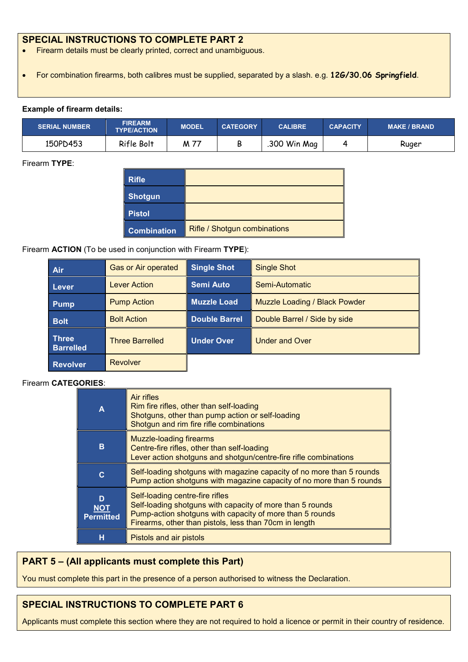## **SPECIAL INSTRUCTIONS TO COMPLETE PART 2**

- Firearm details must be clearly printed, correct and unambiguous.
- For combination firearms, both calibres must be supplied, separated by a slash. e.g. **12G/30.06 Springfield**.

#### **Example of firearm details:**

| <b>SERIAL NUMBER</b> | <b>FIREARM</b><br><b>TYPE/ACTION</b> | <b>MODEL</b> | <b>CATEGORY</b> | <b>CALIBRE</b> | <b>CAPACITY</b> | <b>MAKE / BRAND</b> |
|----------------------|--------------------------------------|--------------|-----------------|----------------|-----------------|---------------------|
| 150PD453             | Rifle Bolt                           | 77<br>M 7    | с               | .300 Win Mag   |                 | Ruger               |

#### Firearm **TYPE**:

| <b>Rifle</b>       |                              |
|--------------------|------------------------------|
| <b>Shotgun</b>     |                              |
| <b>Pistol</b>      |                              |
| <b>Combination</b> | Rifle / Shotgun combinations |

### Firearm **ACTION** (To be used in conjunction with Firearm **TYPE**):

| Air                              | <b>Gas or Air operated</b> | <b>Single Shot</b>   | <b>Single Shot</b>            |
|----------------------------------|----------------------------|----------------------|-------------------------------|
| Lever                            | Lever Action               | <b>Semi Auto</b>     | Semi-Automatic                |
| <b>Pump</b>                      | <b>Pump Action</b>         | <b>Muzzle Load</b>   | Muzzle Loading / Black Powder |
| <b>Bolt</b>                      | <b>Bolt Action</b>         | <b>Double Barrel</b> | Double Barrel / Side by side  |
| <b>Three</b><br><b>Barrelled</b> | <b>Three Barrelled</b>     | Under Over           | <b>Under and Over</b>         |
| Revolver                         | <b>Revolver</b>            |                      |                               |

### Firearm **CATEGORIES**:

| Α                                   | Air rifles<br>Rim fire rifles, other than self-loading<br>Shotguns, other than pump action or self-loading<br>Shotgun and rim fire rifle combinations                                                              |
|-------------------------------------|--------------------------------------------------------------------------------------------------------------------------------------------------------------------------------------------------------------------|
| B                                   | <b>Muzzle-loading firearms</b><br>Centre-fire rifles, other than self-loading<br>Lever action shotguns and shotgun/centre-fire rifle combinations                                                                  |
| C                                   | Self-loading shotguns with magazine capacity of no more than 5 rounds<br>Pump action shotguns with magazine capacity of no more than 5 rounds                                                                      |
| D<br><b>NOT</b><br><b>Permitted</b> | Self-loading centre-fire rifles<br>Self-loading shotguns with capacity of more than 5 rounds<br>Pump-action shotguns with capacity of more than 5 rounds<br>Firearms, other than pistols, less than 70cm in length |
| н                                   | Pistols and air pistols                                                                                                                                                                                            |

## **PART 5 – (All applicants must complete this Part)**

You must complete this part in the presence of a person authorised to witness the Declaration.

# **SPECIAL INSTRUCTIONS TO COMPLETE PART 6**

Applicants must complete this section where they are not required to hold a licence or permit in their country of residence.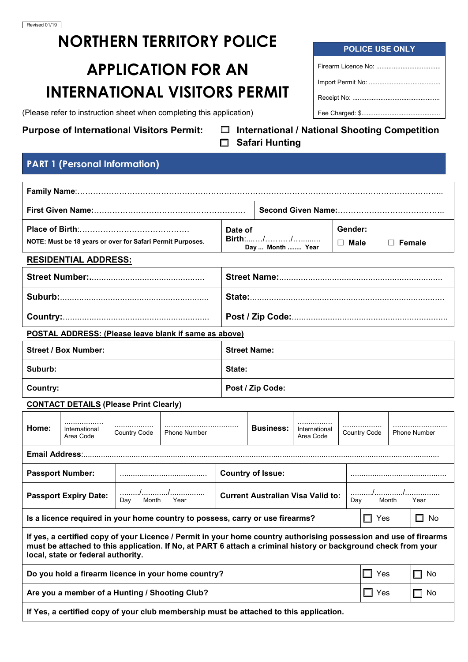# **NORTHERN TERRITORY POLICE**

# **APPLICATION FOR AN INTERNATIONAL VISITORS PERMIT**

(Please refer to instruction sheet when completing this application)

**Purpose of International Visitors Permit: International / National Shooting Competition Safari Hunting**

# **PART 1 (Personal Information)**

| NOTE: Must be 18 years or over for Safari Permit Purposes.                                                                                                                                                                                                                |                                                |              |                                                                                        |                     | Date of<br><b>Birth</b> ://<br>Day  Month  Year |                            |  | Gender:<br>$\Box$ Male              | $\Box$ Female |              |  |
|---------------------------------------------------------------------------------------------------------------------------------------------------------------------------------------------------------------------------------------------------------------------------|------------------------------------------------|--------------|----------------------------------------------------------------------------------------|---------------------|-------------------------------------------------|----------------------------|--|-------------------------------------|---------------|--------------|--|
|                                                                                                                                                                                                                                                                           | <b>RESIDENTIAL ADDRESS:</b>                    |              |                                                                                        |                     |                                                 |                            |  |                                     |               |              |  |
|                                                                                                                                                                                                                                                                           |                                                |              |                                                                                        |                     |                                                 |                            |  |                                     |               |              |  |
|                                                                                                                                                                                                                                                                           |                                                |              |                                                                                        |                     |                                                 |                            |  |                                     |               |              |  |
|                                                                                                                                                                                                                                                                           |                                                |              |                                                                                        |                     |                                                 |                            |  |                                     |               |              |  |
| POSTAL ADDRESS: (Please leave blank if same as above)                                                                                                                                                                                                                     |                                                |              |                                                                                        |                     |                                                 |                            |  |                                     |               |              |  |
|                                                                                                                                                                                                                                                                           | <b>Street / Box Number:</b>                    |              |                                                                                        | <b>Street Name:</b> |                                                 |                            |  |                                     |               |              |  |
| Suburb:                                                                                                                                                                                                                                                                   |                                                |              |                                                                                        | State:              |                                                 |                            |  |                                     |               |              |  |
| <b>Country:</b>                                                                                                                                                                                                                                                           |                                                |              |                                                                                        |                     | Post / Zip Code:                                |                            |  |                                     |               |              |  |
|                                                                                                                                                                                                                                                                           | <b>CONTACT DETAILS (Please Print Clearly)</b>  |              |                                                                                        |                     |                                                 |                            |  |                                     |               |              |  |
| Home:                                                                                                                                                                                                                                                                     | International<br>Area Code                     | Country Code | <b>Phone Number</b>                                                                    |                     | <b>Business:</b>                                | International<br>Area Code |  | Country Code<br><b>Phone Number</b> |               |              |  |
| Email Address:.                                                                                                                                                                                                                                                           |                                                |              |                                                                                        |                     |                                                 |                            |  |                                     |               |              |  |
|                                                                                                                                                                                                                                                                           | <b>Passport Number:</b>                        |              |                                                                                        |                     | <b>Country of Issue:</b>                        |                            |  |                                     |               |              |  |
| //<br>.<br><b>Passport Expiry Date:</b><br><b>Current Australian Visa Valid to:</b><br>Month<br>Year<br>Month<br>Day<br>Day<br>Year                                                                                                                                       |                                                |              |                                                                                        |                     |                                                 |                            |  |                                     |               |              |  |
| Is a licence required in your home country to possess, carry or use firearms?                                                                                                                                                                                             |                                                |              |                                                                                        |                     |                                                 |                            |  | $\Box$ Yes                          |               | $\Box$<br>No |  |
| If yes, a certified copy of your Licence / Permit in your home country authorising possession and use of firearms<br>must be attached to this application. If No, at PART 6 attach a criminal history or background check from your<br>local, state or federal authority. |                                                |              |                                                                                        |                     |                                                 |                            |  |                                     |               |              |  |
| Do you hold a firearm licence in your home country?<br>$\Box$ Yes<br>$\Box$                                                                                                                                                                                               |                                                |              |                                                                                        |                     |                                                 | No                         |  |                                     |               |              |  |
|                                                                                                                                                                                                                                                                           | Are you a member of a Hunting / Shooting Club? |              |                                                                                        |                     |                                                 |                            |  | $\Box$ Yes                          |               | No<br>- 1    |  |
|                                                                                                                                                                                                                                                                           |                                                |              | If Yes, a certified copy of your club membership must be attached to this application. |                     |                                                 |                            |  |                                     |               |              |  |

| <b>POLICE USE ONLY</b> |  |
|------------------------|--|
|                        |  |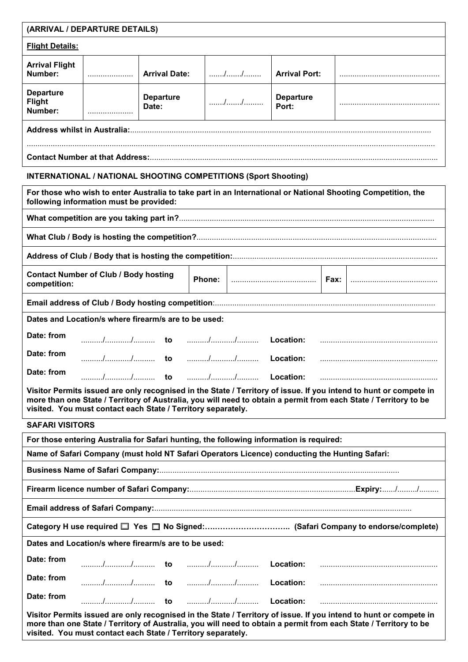| (ARRIVAL / DEPARTURE DETAILS)                |  |                           |                                                                        |                           |                                                                                                              |  |
|----------------------------------------------|--|---------------------------|------------------------------------------------------------------------|---------------------------|--------------------------------------------------------------------------------------------------------------|--|
| <b>Flight Details:</b>                       |  |                           |                                                                        |                           |                                                                                                              |  |
| <b>Arrival Flight</b><br>Number:             |  | <b>Arrival Date:</b>      |                                                                        | <b>Arrival Port:</b>      |                                                                                                              |  |
| <b>Departure</b><br><b>Flight</b><br>Number: |  | <b>Departure</b><br>Date: |                                                                        | <b>Departure</b><br>Port: |                                                                                                              |  |
|                                              |  |                           |                                                                        |                           |                                                                                                              |  |
|                                              |  |                           |                                                                        |                           |                                                                                                              |  |
|                                              |  |                           | <b>INTERNATIONAL / NATIONAL SHOOTING COMPETITIONS (Sport Shooting)</b> |                           |                                                                                                              |  |
| following information must be provided:      |  |                           |                                                                        |                           | For those who wish to enter Australia to take part in an International or National Shooting Competition, the |  |
|                                              |  |                           |                                                                        |                           |                                                                                                              |  |

**What Club / Body is hosting the competition?**..............................................................................................................

Address of Club / Body that is hosting the competition:.............

| competition: | <b>Contact Number of Club / Body hosting</b>         |  |  |  |
|--------------|------------------------------------------------------|--|--|--|
|              |                                                      |  |  |  |
|              | Dates and Location/s where firearm/s are to be used: |  |  |  |
| Date: from   |                                                      |  |  |  |
| Date: from   |                                                      |  |  |  |
| Date: from   |                                                      |  |  |  |

**Visitor Permits issued are only recognised in the State / Territory of issue. If you intend to hunt or compete in more than one State / Territory of Australia, you will need to obtain a permit from each State / Territory to be visited. You must contact each State / Territory separately.**

| <b>SAFARI VISITORS</b> |                                                                                               |  |                                                                                                                                                                                                                                       |
|------------------------|-----------------------------------------------------------------------------------------------|--|---------------------------------------------------------------------------------------------------------------------------------------------------------------------------------------------------------------------------------------|
|                        | For those entering Australia for Safari hunting, the following information is required:       |  |                                                                                                                                                                                                                                       |
|                        | Name of Safari Company (must hold NT Safari Operators Licence) conducting the Hunting Safari: |  |                                                                                                                                                                                                                                       |
|                        |                                                                                               |  |                                                                                                                                                                                                                                       |
|                        |                                                                                               |  |                                                                                                                                                                                                                                       |
|                        |                                                                                               |  |                                                                                                                                                                                                                                       |
|                        |                                                                                               |  |                                                                                                                                                                                                                                       |
|                        | Dates and Location/s where firearm/s are to be used:                                          |  |                                                                                                                                                                                                                                       |
| Date: from             |                                                                                               |  |                                                                                                                                                                                                                                       |
| Date: from             |                                                                                               |  |                                                                                                                                                                                                                                       |
| Date: from             |                                                                                               |  |                                                                                                                                                                                                                                       |
|                        | visited. You must contact each State / Territory separately.                                  |  | Visitor Permits issued are only recognised in the State / Territory of issue. If you intend to hunt or compete in<br>more than one State / Territory of Australia, you will need to obtain a permit from each State / Territory to be |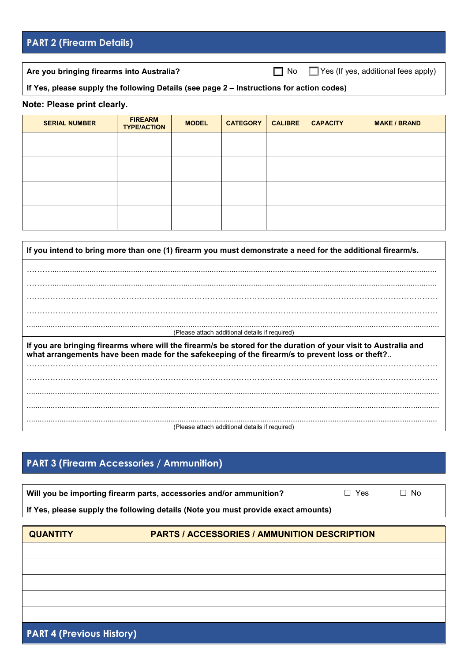# **PART 2 (Firearm Details)**

Are you bringing firearms into Australia? **No Conservery Conservery Are you bringing firearms into Australia?** No Conservery No Conservery Management Are you bringing firearms into Australia?

## **If Yes, please supply the following Details (see page 2 – Instructions for action codes)**

#### **Note: Please print clearly.**

| <b>SERIAL NUMBER</b> | <b>FIREARM</b><br><b>TYPE/ACTION</b> | <b>MODEL</b> | <b>CATEGORY</b> | <b>CALIBRE</b> | <b>CAPACITY</b> | <b>MAKE / BRAND</b> |
|----------------------|--------------------------------------|--------------|-----------------|----------------|-----------------|---------------------|
|                      |                                      |              |                 |                |                 |                     |
|                      |                                      |              |                 |                |                 |                     |
|                      |                                      |              |                 |                |                 |                     |
|                      |                                      |              |                 |                |                 |                     |

| If you intend to bring more than one (1) firearm you must demonstrate a need for the additional firearm/s.                                                                                                         |
|--------------------------------------------------------------------------------------------------------------------------------------------------------------------------------------------------------------------|
|                                                                                                                                                                                                                    |
|                                                                                                                                                                                                                    |
|                                                                                                                                                                                                                    |
|                                                                                                                                                                                                                    |
| (Please attach additional details if required)                                                                                                                                                                     |
| If you are bringing firearms where will the firearm/s be stored for the duration of your visit to Australia and<br>what arrangements have been made for the safekeeping of the firearm/s to prevent loss or theft? |
|                                                                                                                                                                                                                    |
|                                                                                                                                                                                                                    |
|                                                                                                                                                                                                                    |
|                                                                                                                                                                                                                    |
|                                                                                                                                                                                                                    |
| (Please attach additional details if required)                                                                                                                                                                     |

# **PART 3 (Firearm Accessories / Ammunition)**

| Will you be importing firearm parts, accessories and/or ammunition?               | $\Box$ Yes | $\Box$ No |
|-----------------------------------------------------------------------------------|------------|-----------|
| If Yes, please supply the following details (Note you must provide exact amounts) |            |           |

| <b>QUANTITY</b>                  | <b>PARTS / ACCESSORIES / AMMUNITION DESCRIPTION</b> |  |  |
|----------------------------------|-----------------------------------------------------|--|--|
|                                  |                                                     |  |  |
|                                  |                                                     |  |  |
|                                  |                                                     |  |  |
|                                  |                                                     |  |  |
|                                  |                                                     |  |  |
| <b>PART 4 (Previous History)</b> |                                                     |  |  |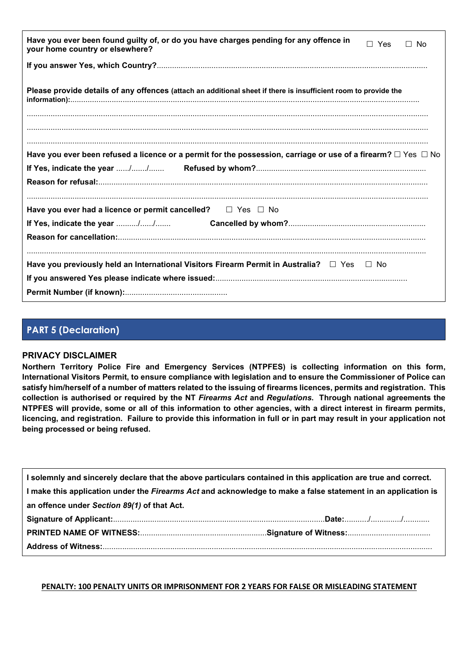| Have you ever been found guilty of, or do you have charges pending for any offence in<br>$\Box$ Yes<br>$\Box$ No<br>your home country or elsewhere? |
|-----------------------------------------------------------------------------------------------------------------------------------------------------|
|                                                                                                                                                     |
| Please provide details of any offences (attach an additional sheet if there is insufficient room to provide the                                     |
| Have you ever been refused a licence or a permit for the possession, carriage or use of a firearm? $\Box$ Yes $\Box$ No                             |
| Have you ever had a licence or permit cancelled? $\square$ Yes $\square$ No                                                                         |
|                                                                                                                                                     |
|                                                                                                                                                     |
| Have you previously held an International Visitors Firearm Permit in Australia? $\square$ Yes $\square$ No                                          |

# **PART 5 (Declaration)**

## **PRIVACY DISCLAIMER**

**Northern Territory Police Fire and Emergency Services (NTPFES) is collecting information on this form, International Visitors Permit, to ensure compliance with legislation and to ensure the Commissioner of Police can satisfy him/herself of a number of matters related to the issuing of firearms licences, permits and registration. This collection is authorised or required by the NT** *Firearms Act* **and** *Regulations***. Through national agreements the NTPFES will provide, some or all of this information to other agencies, with a direct interest in firearm permits, licencing, and registration. Failure to provide this information in full or in part may result in your application not being processed or being refused.**

| I solemnly and sincerely declare that the above particulars contained in this application are true and correct. |  |
|-----------------------------------------------------------------------------------------------------------------|--|
| I make this application under the Firearms Act and acknowledge to make a false statement in an application is   |  |
|                                                                                                                 |  |
|                                                                                                                 |  |
|                                                                                                                 |  |
|                                                                                                                 |  |
|                                                                                                                 |  |

**PENALTY: 100 PENALTY UNITS OR IMPRISONMENT FOR 2 YEARS FOR FALSE OR MISLEADING STATEMENT**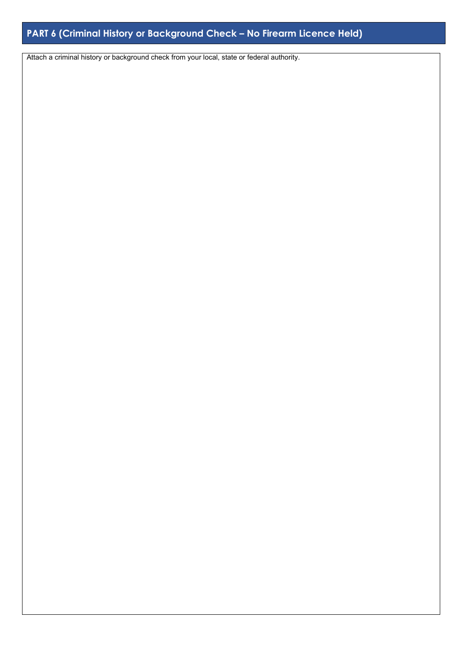# **PART 6 (Criminal History or Background Check – No Firearm Licence Held)**

Attach a criminal history or background check from your local, state or federal authority.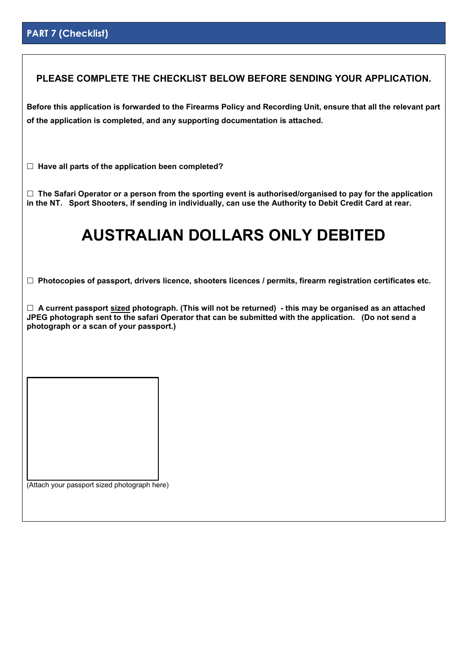# **PART 7 (Checklist)**

## **PLEASE COMPLETE THE CHECKLIST BELOW BEFORE SENDING YOUR APPLICATION.**

**Before this application is forwarded to the Firearms Policy and Recording Unit, ensure that all the relevant part of the application is completed, and any supporting documentation is attached.**

**Have all parts of the application been completed?**

 **The Safari Operator or a person from the sporting event is authorised/organised to pay for the application in the NT. Sport Shooters, if sending in individually, can use the Authority to Debit Credit Card at rear.**

# **AUSTRALIAN DOLLARS ONLY DEBITED**

**Photocopies of passport, drivers licence, shooters licences / permits, firearm registration certificates etc.**

 **A current passport sized photograph. (This will not be returned) - this may be organised as an attached JPEG photograph sent to the safari Operator that can be submitted with the application. (Do not send a photograph or a scan of your passport.)** 

(Attach your passport sized photograph here)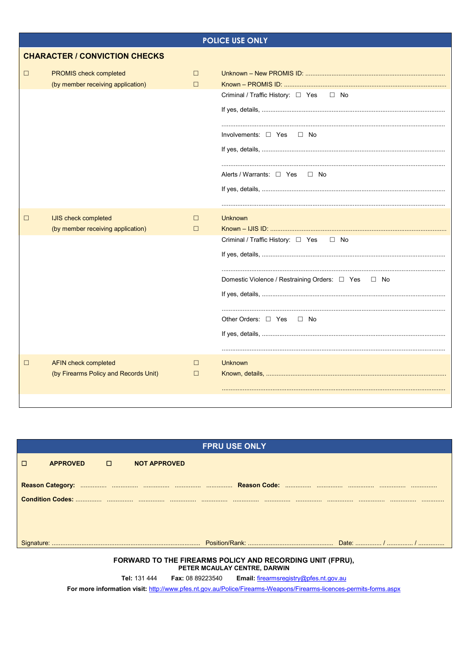|        | <b>POLICE USE ONLY</b>                                               |                  |                                                                                                                                                    |  |  |
|--------|----------------------------------------------------------------------|------------------|----------------------------------------------------------------------------------------------------------------------------------------------------|--|--|
|        | <b>CHARACTER / CONVICTION CHECKS</b>                                 |                  |                                                                                                                                                    |  |  |
| □      | PROMIS check completed<br>(by member receiving application)          | $\Box$<br>$\Box$ | Criminal / Traffic History: $\Box$ Yes<br>$\square$ No<br>Involvements: $\Box$ Yes $\Box$ No<br>Alerts / Warrants: $\Box$ Yes<br>— ∏ No            |  |  |
| □      | IJIS check completed<br>(by member receiving application)            | $\Box$<br>$\Box$ | <b>Unknown</b><br>Criminal / Traffic History: □ Yes □ No<br>Domestic Violence / Restraining Orders: □ Yes □ No<br>Other Orders: □ Yes<br>$\Box$ No |  |  |
| $\Box$ | <b>AFIN check completed</b><br>(by Firearms Policy and Records Unit) | $\Box$<br>$\Box$ | <b>Unknown</b>                                                                                                                                     |  |  |

| <b>FPRU USE ONLY</b> |                   |  |                     |  |  |
|----------------------|-------------------|--|---------------------|--|--|
|                      | APPROVED <b>O</b> |  | <b>NOT APPROVED</b> |  |  |
|                      |                   |  |                     |  |  |
|                      |                   |  |                     |  |  |
|                      |                   |  |                     |  |  |
|                      |                   |  |                     |  |  |
|                      |                   |  |                     |  |  |
|                      |                   |  |                     |  |  |
|                      |                   |  |                     |  |  |
|                      |                   |  |                     |  |  |
|                      |                   |  |                     |  |  |

# FORWARD TO THE FIREARMS POLICY AND RECORDING UNIT (FPRU),<br>PETER MCAULAY CENTRE, DARWIN

Tel: 131 444 Fax: 08 89223540 Email: firearmsregistry@pfes.nt.gov.au

For more information visit: http://www.pfes.nt.gov.au/Police/Firearms-Weapons/Firearms-licences-permits-forms.aspx